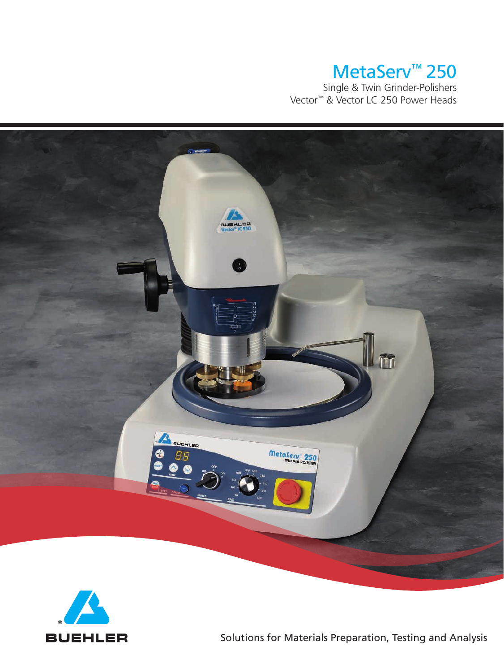# MetaServ™ 250

 Single & Twin Grinder-Polishers Vector™ & Vector LC 250 Power Heads





BUEHLER Solutions for Materials Preparation, Testing and Analysis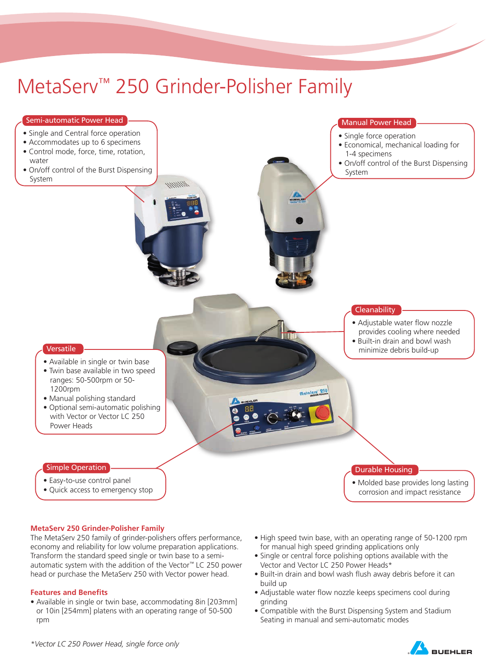# MetaServ™ 250 Grinder-Polisher Family



### **MetaServ 250 Grinder-Polisher Family**

The MetaServ 250 family of grinder-polishers offers performance, economy and reliability for low volume preparation applications. Transform the standard speed single or twin base to a semiautomatic system with the addition of the Vector™ LC 250 power head or purchase the MetaServ 250 with Vector power head.

#### **Features and Benefits**

- Available in single or twin base, accommodating 8in [203mm] or 10in [254mm] platens with an operating range of 50-500 rpm
- High speed twin base, with an operating range of 50-1200 rpm for manual high speed grinding applications only
- Single or central force polishing options available with the Vector and Vector LC 250 Power Heads\*
- Built-in drain and bowl wash flush away debris before it can build up
- Adjustable water flow nozzle keeps specimens cool during grinding
- Compatible with the Burst Dispensing System and Stadium Seating in manual and semi-automatic modes

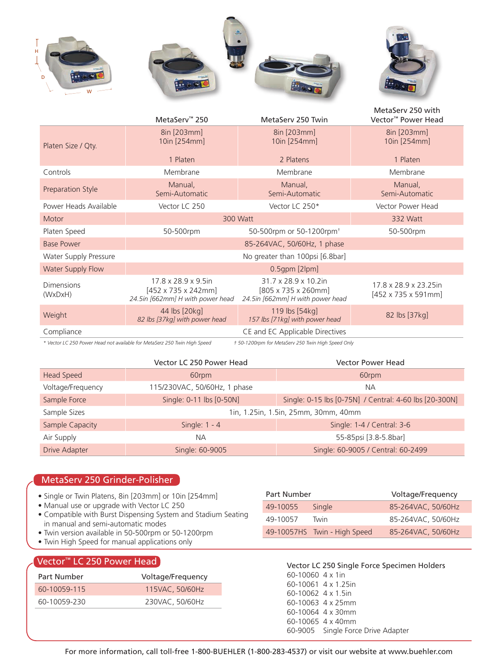

|                              | MetaServ <sup>™</sup> 250                                                                   | MetaSery 250 Twin                                                                            | MetaSery 250 with<br>Vector <sup>™</sup> Power Head       |  |  |
|------------------------------|---------------------------------------------------------------------------------------------|----------------------------------------------------------------------------------------------|-----------------------------------------------------------|--|--|
| Platen Size / Qty.           | 8in [203mm]<br>10in [254mm]                                                                 | 8in [203mm]<br>10in [254mm]                                                                  | 8in [203mm]<br>10in [254mm]                               |  |  |
|                              | 1 Platen                                                                                    | 2 Platens                                                                                    |                                                           |  |  |
| Controls                     | Membrane<br>Membrane                                                                        |                                                                                              | Membrane                                                  |  |  |
| Preparation Style            | Manual,<br>Semi-Automatic                                                                   | Manual,<br>Semi-Automatic                                                                    | Manual,<br>Semi-Automatic                                 |  |  |
| Power Heads Available        | Vector LC 250                                                                               | Vector LC 250*                                                                               | Vector Power Head                                         |  |  |
| Motor                        | 300 Watt                                                                                    | 332 Watt                                                                                     |                                                           |  |  |
| Platen Speed                 | 50-500rpm or 50-1200rpm <sup>+</sup><br>50-500rpm                                           |                                                                                              | 50-500rpm                                                 |  |  |
| <b>Base Power</b>            | 85-264VAC, 50/60Hz, 1 phase                                                                 |                                                                                              |                                                           |  |  |
| Water Supply Pressure        | No greater than 100psi [6.8bar]                                                             |                                                                                              |                                                           |  |  |
| Water Supply Flow            | $0.5$ gpm $[2$ lpm $]$                                                                      |                                                                                              |                                                           |  |  |
| <b>Dimensions</b><br>(WxDxH) | 17.8 x 28.9 x 9.5in<br>$[452 \times 735 \times 242$ mm]<br>24.5in [662mm] H with power head | 31.7 x 28.9 x 10.2in<br>$[805 \times 735 \times 260$ mm]<br>24.5in [662mm] H with power head | 17.8 x 28.9 x 23.25in<br>$[452 \times 735 \times 591$ mm] |  |  |
| Weight                       | 44 lbs [20kg]<br>82 lbs [37kg] with power head                                              | 119 lbs [54kg]<br>157 lbs [71kg] with power head                                             | 82 lbs [37kg]                                             |  |  |
| Compliance                   | CE and EC Applicable Directives                                                             |                                                                                              |                                                           |  |  |
|                              |                                                                                             |                                                                                              |                                                           |  |  |

*\* Vector LC 250 Power Head not available for MetaSerz 250 Twin High Speed † 50-1200rpm for MetaServ 250 Twin High Speed Only*

|                      | Vector LC 250 Power Head             | <b>Vector Power Head</b>                               |  |  |  |
|----------------------|--------------------------------------|--------------------------------------------------------|--|--|--|
| Head Speed           | 60rpm                                | 60rpm                                                  |  |  |  |
| Voltage/Frequency    | 115/230VAC, 50/60Hz, 1 phase         | <b>NA</b>                                              |  |  |  |
| Sample Force         | Single: 0-11 lbs [0-50N]             | Single: 0-15 lbs [0-75N] / Central: 4-60 lbs [20-300N] |  |  |  |
| Sample Sizes         | 1in, 1.25in, 1.5in, 25mm, 30mm, 40mm |                                                        |  |  |  |
| Sample Capacity      | Single: $1 - 4$                      | Single: 1-4 / Central: 3-6                             |  |  |  |
| Air Supply           | <b>NA</b>                            | 55-85psi [3.8-5.8bar]                                  |  |  |  |
| <b>Drive Adapter</b> | Single: 60-9005                      | Single: 60-9005 / Central: 60-2499                     |  |  |  |

# MetaServ 250 Grinder-Polisher

- Single or Twin Platens, 8in [203mm] or 10in [254mm]
- Manual use or upgrade with Vector LC 250
- Compatible with Burst Dispensing System and Stadium Seating in manual and semi-automatic modes
- Twin version available in 50-500rpm or 50-1200rpm
- Twin High Speed for manual applications only

# Vector™ LC 250 Power Head

| Part Number  | Voltage/Frequency |  |  |
|--------------|-------------------|--|--|
| 60-10059-115 | 115VAC, 50/60Hz   |  |  |
| 60-10059-230 | 230VAC, 50/60Hz   |  |  |

| Part Number |                              | Voltage/Frequency  |  |  |
|-------------|------------------------------|--------------------|--|--|
| 49-10055    | Single                       | 85-264VAC, 50/60Hz |  |  |
| 49-10057    | Twin                         | 85-264VAC, 50/60Hz |  |  |
|             | 49-10057HS Twin - High Speed | 85-264VAC, 50/60Hz |  |  |
|             |                              |                    |  |  |

Vector LC 250 Single Force Specimen Holders 60-10060 4 x 1in 60-10061 4 x 1.25in 60-10062 4 x 1.5in 60-10063 4 x 25mm 60-10064 4 x 30mm 60-10065 4 x 40mm 60-9005 Single Force Drive Adapter